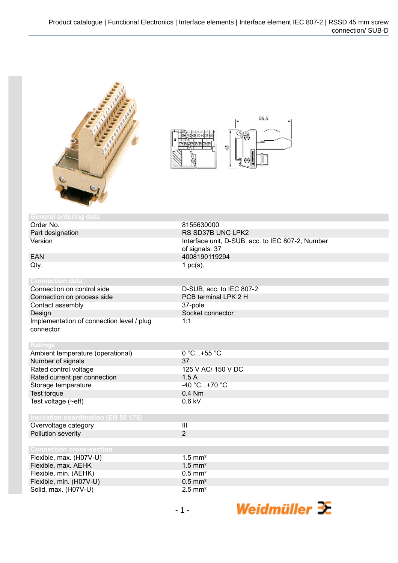



| <b>General ordering data</b>               |                                                  |
|--------------------------------------------|--------------------------------------------------|
| Order No.                                  | 8155630000                                       |
| Part designation                           | RS SD37B UNC LPK2                                |
| Version                                    | Interface unit, D-SUB, acc. to IEC 807-2, Number |
|                                            | of signals: 37                                   |
| <b>EAN</b>                                 | 4008190119294                                    |
| Qty.                                       | 1 $pc(s)$ .                                      |
|                                            |                                                  |
| <b>Connection data</b>                     |                                                  |
| Connection on control side                 | D-SUB, acc. to IEC 807-2                         |
| Connection on process side                 | PCB terminal LPK 2 H                             |
| Contact assembly                           | 37-pole                                          |
| Design                                     | Socket connector                                 |
| Implementation of connection level / plug  | 1:1                                              |
| connector                                  |                                                  |
|                                            |                                                  |
| <b>Ratings</b>                             |                                                  |
| Ambient temperature (operational)          | 0 °C+55 °C                                       |
| Number of signals                          | 37                                               |
| Rated control voltage                      | 125 V AC/ 150 V DC                               |
| Rated current per connection               | 1.5A                                             |
| Storage temperature                        | -40 °C+70 °C                                     |
| Test torque                                | 0.4 Nm                                           |
| Test voltage $(\sim eff)$                  | $0.6$ kV                                         |
|                                            |                                                  |
| <b>Insulation coordination (EN 50 178)</b> |                                                  |
| Overvoltage category                       | $\mathbf{III}$                                   |
| Pollution severity                         | $\overline{2}$                                   |
|                                            |                                                  |
| <b>Connection cross-section</b>            |                                                  |
| Flexible, max. (H07V-U)                    | $1.5$ mm <sup>2</sup>                            |
| Flexible, max. AEHK                        | $1.5$ mm <sup>2</sup>                            |
| Flexible, min. (AEHK)                      | $0.5$ mm <sup>2</sup>                            |
| Flexible, min. (H07V-U)                    | $0.5$ mm <sup>2</sup>                            |
| Solid, max. (H07V-U)                       | $2.5$ mm <sup>2</sup>                            |

Weidmüller 3E